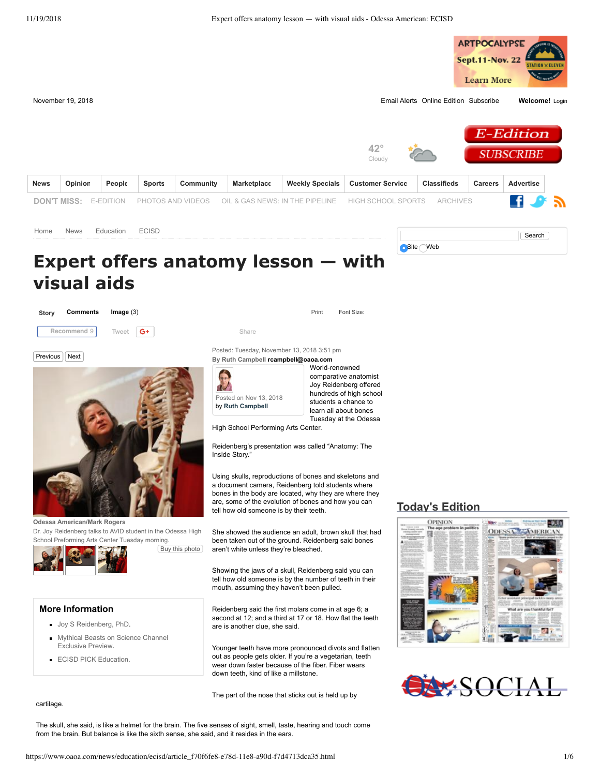